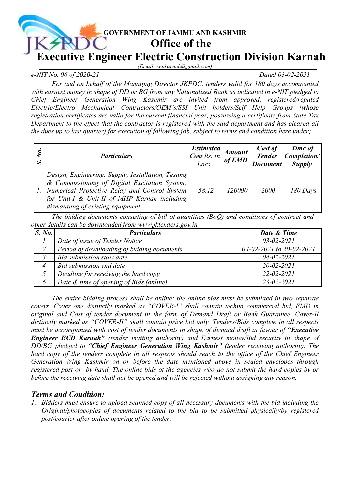

*(Email: [xenkarnah@gmail.com\)](mailto:xenkarnah@gmail.com)*

## *e-NIT No. 06 of 2020-21 Dated 03-02-2021*

*For and on behalf of the Managing Director JKPDC, tenders valid for 180 days accompanied with earnest money in shape of DD or BG from any Nationalized Bank as indicated in e-NIT pledged to Chief Engineer Generation Wing Kashmir are invited from approved, registered/reputed Electric/Electro Mechanical Contractors/OEM's/SSI Unit holders/Self Help Groups (whose registration certificates are valid for the current financial year, possessing a certificate from State Tax Department to the effect that the contractor is registered with the said department and has cleared all the dues up to last quarter) for execution of following job, subject to terms and condition here under;* 

| No. | <i>Particulars</i>                                                                                                                                                                                                                         | <b>Estimated</b><br><b>Cost Rs.</b> in<br>Lacs. | <b>Amount</b><br>of EMD | Cost of<br><b>Tender</b><br><b>Document</b> | Time of<br>Completion/<br><b>Supply</b> |
|-----|--------------------------------------------------------------------------------------------------------------------------------------------------------------------------------------------------------------------------------------------|-------------------------------------------------|-------------------------|---------------------------------------------|-----------------------------------------|
|     | Design, Engineering, Supply, Installation, Testing<br>& Commissioning of Digital Excitation System,<br>Numerical Protective Relay and Control System<br>for Unit-I & Unit-II of MHP Karnah including<br>dismantling of existing equipment. | 58.12                                           | <i>120000</i>           | <i>2000</i>                                 | 180 Days                                |

*The bidding documents consisting of bill of quantities (BoQ) and conditions of contract and other details can be downloaded from [www.jktenders.gov.in.](http://www.jktenders.gov.in/)*

| S. No. | <b>Particulars</b>                         | Date & Time              |
|--------|--------------------------------------------|--------------------------|
|        | Date of issue of Tender Notice             | $03 - 02 - 2021$         |
|        | Period of downloading of bidding documents | 04-02-2021 to 20-02-2021 |
|        | Bid submission start date                  | $04 - 02 - 2021$         |
|        | Bid submission end date                    | $20 - 02 - 2021$         |
|        | Deadline for receiving the hard copy       | $22 - 02 - 2021$         |
|        | Date & time of opening of Bids (online)    | $23 - 02 - 2021$         |

*The entire bidding process shall be online; the online bids must be submitted in two separate covers. Cover one distinctly marked as "COVER-I" shall contain techno commercial bid, EMD in original and Cost of tender document in the form of Demand Draft or Bank Guarantee. Cover-II distinctly marked as "COVER-II" shall contain price bid only. Tenders/Bids complete in all respects must be accompanied with cost of tender documents in shape of demand draft in favour of "Executive Engineer ECD Karnah" (tender inviting authority) and Earnest money/Bid security in shape of DD/BG pledged to "Chief Engineer Generation Wing Kashmir" (tender receiving authority). The hard copy of the tenders complete in all respects should reach to the office of the Chief Engineer Generation Wing Kashmir on or before the date mentioned above in sealed envelopes through registered post or by hand. The online bids of the agencies who do not submit the hard copies by or before the receiving date shall not be opened and will be rejected without assigning any reason.*

## *Terms and Condition:*

*1. Bidders must ensure to upload scanned copy of all necessary documents with the bid including the Original/photocopies of documents related to the bid to be submitted physically/by registered post/courier after online opening of the tender.*